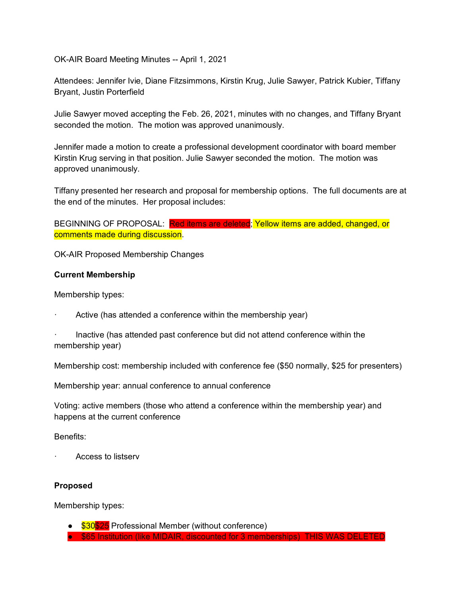OK-AIR Board Meeting Minutes -- April 1, 2021

Attendees: Jennifer Ivie, Diane Fitzsimmons, Kirstin Krug, Julie Sawyer, Patrick Kubier, Tiffany Bryant, Justin Porterfield

Julie Sawyer moved accepting the Feb. 26, 2021, minutes with no changes, and Tiffany Bryant seconded the motion. The motion was approved unanimously.

Jennifer made a motion to create a professional development coordinator with board member Kirstin Krug serving in that position. Julie Sawyer seconded the motion. The motion was approved unanimously.

Tiffany presented her research and proposal for membership options. The full documents are at the end of the minutes. Her proposal includes:

BEGINNING OF PROPOSAL: Red items are deleted; Yellow items are added, changed, or comments made during discussion.

OK-AIR Proposed Membership Changes

#### **Current Membership**

Membership types:

- Active (has attended a conference within the membership year)
- Inactive (has attended past conference but did not attend conference within the membership year)

Membership cost: membership included with conference fee (\$50 normally, \$25 for presenters)

Membership year: annual conference to annual conference

Voting: active members (those who attend a conference within the membership year) and happens at the current conference

#### Benefits:

· Access to listserv

#### **Proposed**

Membership types:

- \$30\$25 Professional Member (without conference)
- \$65 Institution (like MIDAIR, discounted for 3 memberships) THIS WAS DELETED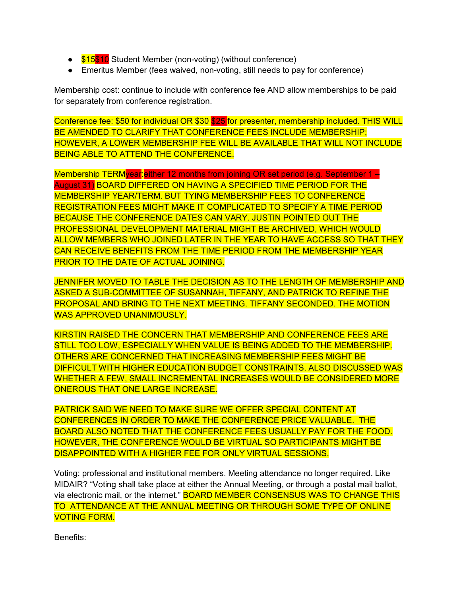- \$15\$10 Student Member (non-voting) (without conference)
- Emeritus Member (fees waived, non-voting, still needs to pay for conference)

Membership cost: continue to include with conference fee AND allow memberships to be paid for separately from conference registration.

Conference fee: \$50 for individual OR \$30 \$25 for presenter, membership included. THIS WILL BE AMENDED TO CLARIFY THAT CONFERENCE FEES INCLUDE MEMBERSHIP; HOWEVER, A LOWER MEMBERSHIP FEE WILL BE AVAILABLE THAT WILL NOT INCLUDE BEING ABLE TO ATTEND THE CONFERENCE.

Membership TERMyear:either 12 months from joining OR set period (e.g. September 1 – August 31) BOARD DIFFERED ON HAVING A SPECIFIED TIME PERIOD FOR THE MEMBERSHIP YEAR/TERM. BUT TYING MEMBERSHIP FEES TO CONFERENCE REGISTRATION FEES MIGHT MAKE IT COMPLICATED TO SPECIFY A TIME PERIOD BECAUSE THE CONFERENCE DATES CAN VARY. JUSTIN POINTED OUT THE PROFESSIONAL DEVELOPMENT MATERIAL MIGHT BE ARCHIVED, WHICH WOULD ALLOW MEMBERS WHO JOINED LATER IN THE YEAR TO HAVE ACCESS SO THAT THEY CAN RECEIVE BENEFITS FROM THE TIME PERIOD FROM THE MEMBERSHIP YEAR PRIOR TO THE DATE OF ACTUAL JOINING.

JENNIFER MOVED TO TABLE THE DECISION AS TO THE LENGTH OF MEMBERSHIP AND ASKED A SUB-COMMITTEE OF SUSANNAH, TIFFANY, AND PATRICK TO REFINE THE PROPOSAL AND BRING TO THE NEXT MEETING. TIFFANY SECONDED. THE MOTION WAS APPROVED UNANIMOUSLY.

KIRSTIN RAISED THE CONCERN THAT MEMBERSHIP AND CONFERENCE FEES ARE STILL TOO LOW, ESPECIALLY WHEN VALUE IS BEING ADDED TO THE MEMBERSHIP. OTHERS ARE CONCERNED THAT INCREASING MEMBERSHIP FEES MIGHT BE DIFFICULT WITH HIGHER EDUCATION BUDGET CONSTRAINTS. ALSO DISCUSSED WAS WHETHER A FEW, SMALL INCREMENTAL INCREASES WOULD BE CONSIDERED MORE ONEROUS THAT ONE LARGE INCREASE.

PATRICK SAID WE NEED TO MAKE SURE WE OFFER SPECIAL CONTENT AT CONFERENCES IN ORDER TO MAKE THE CONFERENCE PRICE VALUABLE. THE BOARD ALSO NOTED THAT THE CONFERENCE FEES USUALLY PAY FOR THE FOOD. HOWEVER, THE CONFERENCE WOULD BE VIRTUAL SO PARTICIPANTS MIGHT BE DISAPPOINTED WITH A HIGHER FEE FOR ONLY VIRTUAL SESSIONS.

Voting: professional and institutional members. Meeting attendance no longer required. Like MIDAIR? "Voting shall take place at either the Annual Meeting, or through a postal mail ballot, via electronic mail, or the internet." **BOARD MEMBER CONSENSUS WAS TO CHANGE THIS** TO ATTENDANCE AT THE ANNUAL MEETING OR THROUGH SOME TYPE OF ONLINE VOTING FORM.

Benefits: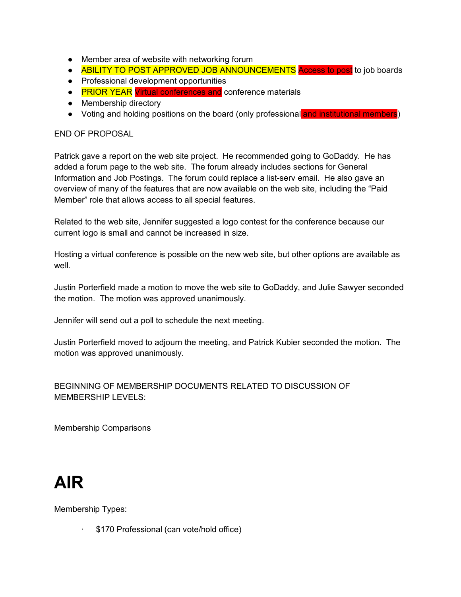- Member area of website with networking forum
- ABILITY TO POST APPROVED JOB ANNOUNCEMENTS Access to post to job boards
- Professional development opportunities
- PRIOR YEAR Virtual conferences and conference materials
- Membership directory
- Voting and holding positions on the board (only professional and institutional members)

#### END OF PROPOSAL

Patrick gave a report on the web site project. He recommended going to GoDaddy. He has added a forum page to the web site. The forum already includes sections for General Information and Job Postings. The forum could replace a list-serv email. He also gave an overview of many of the features that are now available on the web site, including the "Paid Member" role that allows access to all special features.

Related to the web site, Jennifer suggested a logo contest for the conference because our current logo is small and cannot be increased in size.

Hosting a virtual conference is possible on the new web site, but other options are available as well.

Justin Porterfield made a motion to move the web site to GoDaddy, and Julie Sawyer seconded the motion. The motion was approved unanimously.

Jennifer will send out a poll to schedule the next meeting.

Justin Porterfield moved to adjourn the meeting, and Patrick Kubier seconded the motion. The motion was approved unanimously.

BEGINNING OF MEMBERSHIP DOCUMENTS RELATED TO DISCUSSION OF MEMBERSHIP LEVELS:

Membership Comparisons

## **AIR**

Membership Types:

\$170 Professional (can vote/hold office)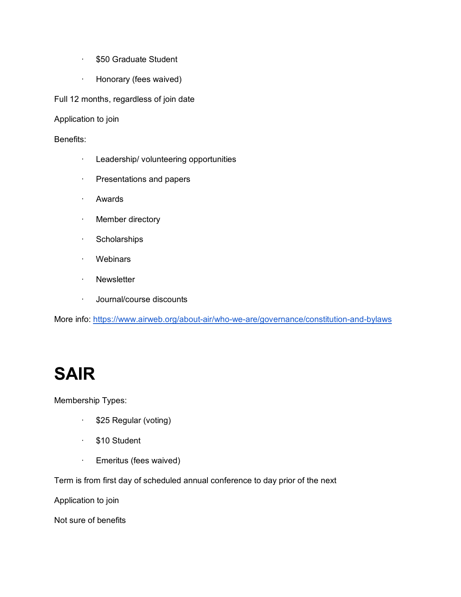- · \$50 Graduate Student
- · Honorary (fees waived)

Full 12 months, regardless of join date

Application to join

Benefits:

- · Leadership/ volunteering opportunities
- · Presentations and papers
- · Awards
- · Member directory
- · Scholarships
- · Webinars
- · Newsletter
- · Journal/course discounts

More info: <https://www.airweb.org/about-air/who-we-are/governance/constitution-and-bylaws>

## **SAIR**

Membership Types:

- · \$25 Regular (voting)
- · \$10 Student
- · Emeritus (fees waived)

Term is from first day of scheduled annual conference to day prior of the next

Application to join

Not sure of benefits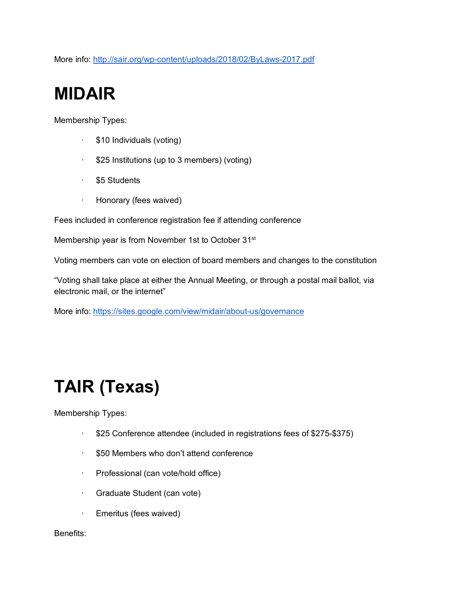More info: <http://sair.org/wp-content/uploads/2018/02/ByLaws-2017.pdf>

## **MIDAIR**

Membership Types:

- · \$10 Individuals (voting)
- · \$25 Institutions (up to 3 members) (voting)
- · \$5 Students
- · Honorary (fees waived)

Fees included in conference registration fee if attending conference

Membership year is from November 1st to October 31<sup>st</sup>

Voting members can vote on election of board members and changes to the constitution

"Voting shall take place at either the Annual Meeting, or through a postal mail ballot, via electronic mail, or the internet"

More info: <https://sites.google.com/view/midair/about-us/governance>

## **TAIR (Texas)**

Membership Types:

- · \$25 Conference attendee (included in registrations fees of \$275-\$375)
- · \$50 Members who don't attend conference
- · Professional (can vote/hold office)
- · Graduate Student (can vote)
- · Emeritus (fees waived)

#### Benefits: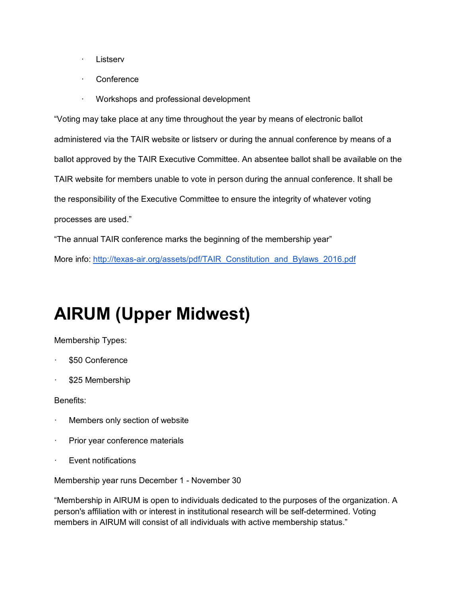- · Listserv
- **Conference**
- · Workshops and professional development

"Voting may take place at any time throughout the year by means of electronic ballot administered via the TAIR website or listserv or during the annual conference by means of a ballot approved by the TAIR Executive Committee. An absentee ballot shall be available on the TAIR website for members unable to vote in person during the annual conference. It shall be the responsibility of the Executive Committee to ensure the integrity of whatever voting processes are used."

"The annual TAIR conference marks the beginning of the membership year"

More info: [http://texas-air.org/assets/pdf/TAIR\\_Constitution\\_and\\_Bylaws\\_2016.pdf](http://texas-air.org/assets/pdf/TAIR_Constitution_and_Bylaws_2016.pdf)

### **AIRUM (Upper Midwest)**

Membership Types:

- \$50 Conference
- \$25 Membership

Benefits:

- Members only section of website
- Prior year conference materials
- · Event notifications

Membership year runs December 1 - November 30

"Membership in AIRUM is open to individuals dedicated to the purposes of the organization. A person's affiliation with or interest in institutional research will be self-determined. Voting members in AIRUM will consist of all individuals with active membership status."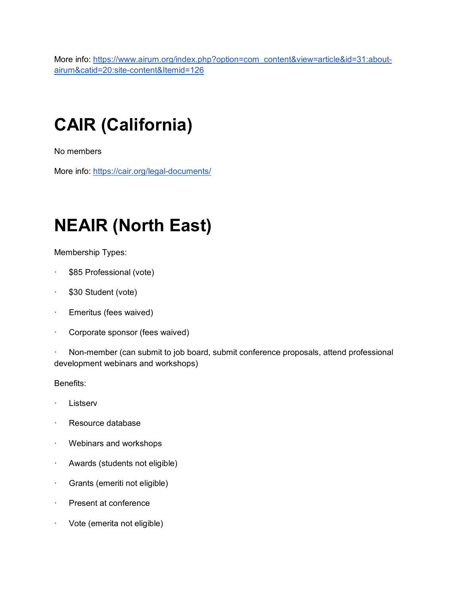More info: [https://www.airum.org/index.php?option=com\\_content&view=article&id=31:about](https://www.airum.org/index.php?option=com_content&view=article&id=31:about-airum&catid=20:site-content&Itemid=126)[airum&catid=20:site-content&Itemid=126](https://www.airum.org/index.php?option=com_content&view=article&id=31:about-airum&catid=20:site-content&Itemid=126)

# **CAIR (California)**

No members

More info: <https://cair.org/legal-documents/>

# **NEAIR (North East)**

Membership Types:

- \$85 Professional (vote)
- · \$30 Student (vote)
- · Emeritus (fees waived)
- · Corporate sponsor (fees waived)

· Non-member (can submit to job board, submit conference proposals, attend professional development webinars and workshops)

Benefits:

- **Listserv**
- · Resource database
- · Webinars and workshops
- · Awards (students not eligible)
- · Grants (emeriti not eligible)
- · Present at conference
- · Vote (emerita not eligible)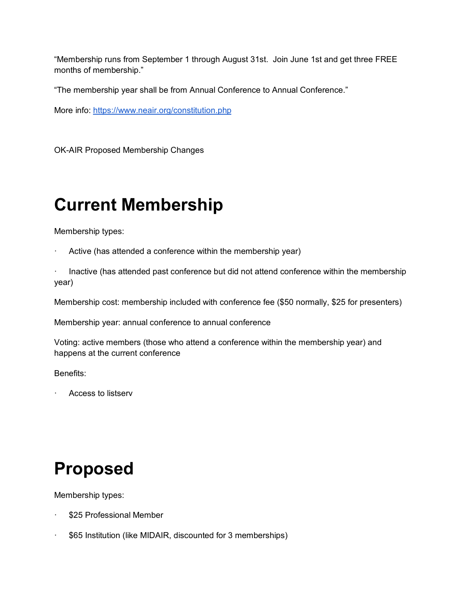"Membership runs from September 1 through August 31st. Join June 1st and get three FREE months of membership."

"The membership year shall be from Annual Conference to Annual Conference."

More info: <https://www.neair.org/constitution.php>

OK-AIR Proposed Membership Changes

## **Current Membership**

Membership types:

- Active (has attended a conference within the membership year)
- Inactive (has attended past conference but did not attend conference within the membership year)

Membership cost: membership included with conference fee (\$50 normally, \$25 for presenters)

Membership year: annual conference to annual conference

Voting: active members (those who attend a conference within the membership year) and happens at the current conference

Benefits:

· Access to listserv

### **Proposed**

Membership types:

- \$25 Professional Member
- · \$65 Institution (like MIDAIR, discounted for 3 memberships)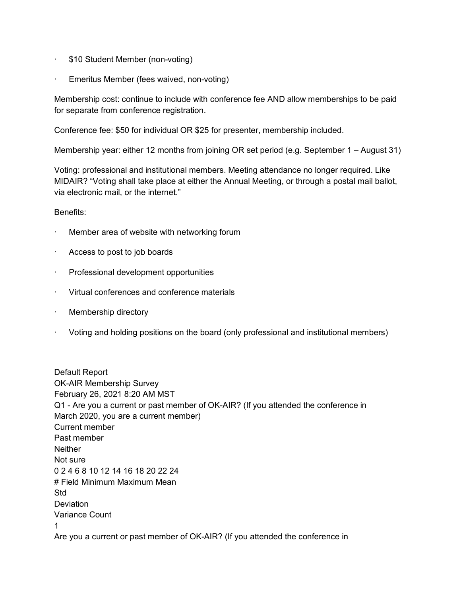- · \$10 Student Member (non-voting)
- Emeritus Member (fees waived, non-voting)

Membership cost: continue to include with conference fee AND allow memberships to be paid for separate from conference registration.

Conference fee: \$50 for individual OR \$25 for presenter, membership included.

Membership year: either 12 months from joining OR set period (e.g. September 1 – August 31)

Voting: professional and institutional members. Meeting attendance no longer required. Like MIDAIR? "Voting shall take place at either the Annual Meeting, or through a postal mail ballot, via electronic mail, or the internet."

#### Benefits:

- Member area of website with networking forum
- · Access to post to job boards
- · Professional development opportunities
- · Virtual conferences and conference materials
- · Membership directory
- · Voting and holding positions on the board (only professional and institutional members)

Default Report OK-AIR Membership Survey February 26, 2021 8:20 AM MST Q1 - Are you a current or past member of OK-AIR? (If you attended the conference in March 2020, you are a current member) Current member Past member **Neither** Not sure 0 2 4 6 8 10 12 14 16 18 20 22 24 # Field Minimum Maximum Mean Std **Deviation** Variance Count 1 Are you a current or past member of OK-AIR? (If you attended the conference in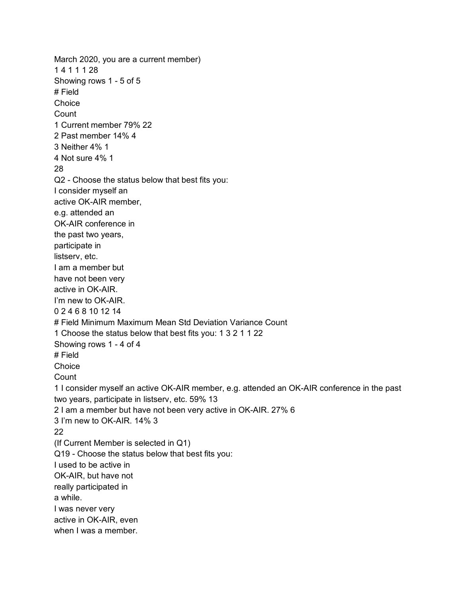March 2020, you are a current member) 1 4 1 1 1 28 Showing rows 1 - 5 of 5 # Field **Choice Count** 1 Current member 79% 22 2 Past member 14% 4 3 Neither 4% 1 4 Not sure 4% 1 28 Q2 - Choose the status below that best fits you: I consider myself an active OK-AIR member, e.g. attended an OK-AIR conference in the past two years, participate in listserv, etc. I am a member but have not been very active in OK-AIR. I'm new to OK-AIR. 0 2 4 6 8 10 12 14 # Field Minimum Maximum Mean Std Deviation Variance Count 1 Choose the status below that best fits you: 1 3 2 1 1 22 Showing rows 1 - 4 of 4 # Field **Choice Count** 1 I consider myself an active OK-AIR member, e.g. attended an OK-AIR conference in the past two years, participate in listserv, etc. 59% 13 2 I am a member but have not been very active in OK-AIR. 27% 6 3 I'm new to OK-AIR. 14% 3 22 (If Current Member is selected in Q1) Q19 - Choose the status below that best fits you: I used to be active in OK-AIR, but have not really participated in a while. I was never very active in OK-AIR, even when I was a member.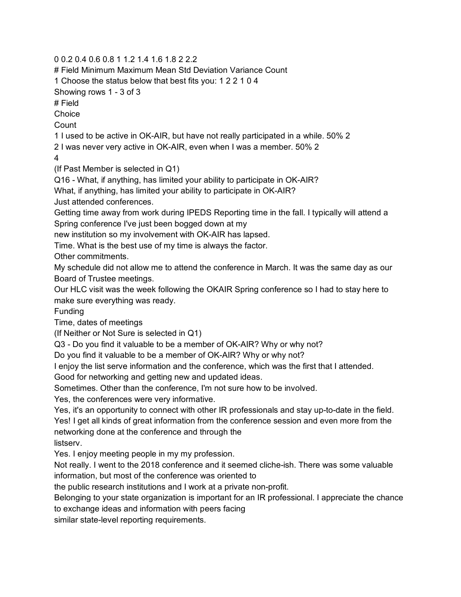0 0.2 0.4 0.6 0.8 1 1.2 1.4 1.6 1.8 2 2.2

# Field Minimum Maximum Mean Std Deviation Variance Count

1 Choose the status below that best fits you: 1 2 2 1 0 4

Showing rows 1 - 3 of 3

# Field

Choice

**Count** 

1 I used to be active in OK-AIR, but have not really participated in a while. 50% 2

2 I was never very active in OK-AIR, even when I was a member. 50% 2

4

(If Past Member is selected in Q1)

Q16 - What, if anything, has limited your ability to participate in OK-AIR?

What, if anything, has limited your ability to participate in OK-AIR?

Just attended conferences.

Getting time away from work during IPEDS Reporting time in the fall. I typically will attend a Spring conference I've just been bogged down at my

new institution so my involvement with OK-AIR has lapsed.

Time. What is the best use of my time is always the factor.

Other commitments.

My schedule did not allow me to attend the conference in March. It was the same day as our Board of Trustee meetings.

Our HLC visit was the week following the OKAIR Spring conference so I had to stay here to make sure everything was ready.

Funding

Time, dates of meetings

(If Neither or Not Sure is selected in Q1)

Q3 - Do you find it valuable to be a member of OK-AIR? Why or why not?

Do you find it valuable to be a member of OK-AIR? Why or why not?

I enjoy the list serve information and the conference, which was the first that I attended.

Good for networking and getting new and updated ideas.

Sometimes. Other than the conference, I'm not sure how to be involved.

Yes, the conferences were very informative.

Yes, it's an opportunity to connect with other IR professionals and stay up-to-date in the field. Yes! I get all kinds of great information from the conference session and even more from the networking done at the conference and through the

listserv.

Yes. I enjoy meeting people in my my profession.

Not really. I went to the 2018 conference and it seemed cliche-ish. There was some valuable information, but most of the conference was oriented to

the public research institutions and I work at a private non-profit.

Belonging to your state organization is important for an IR professional. I appreciate the chance to exchange ideas and information with peers facing

similar state-level reporting requirements.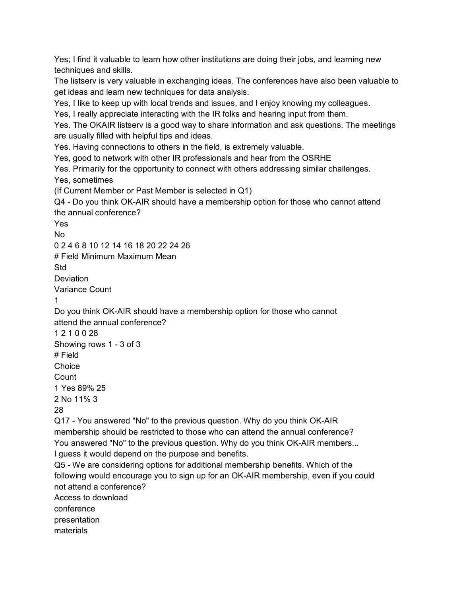Yes; I find it valuable to learn how other institutions are doing their jobs, and learning new techniques and skills. The listserv is very valuable in exchanging ideas. The conferences have also been valuable to get ideas and learn new techniques for data analysis. Yes, I like to keep up with local trends and issues, and I enjoy knowing my colleagues. Yes, I really appreciate interacting with the IR folks and hearing input from them. Yes. The OKAIR listserv is a good way to share information and ask questions. The meetings are usually filled with helpful tips and ideas. Yes. Having connections to others in the field, is extremely valuable. Yes, good to network with other IR professionals and hear from the OSRHE Yes. Primarily for the opportunity to connect with others addressing similar challenges. Yes, sometimes (If Current Member or Past Member is selected in Q1) Q4 - Do you think OK-AIR should have a membership option for those who cannot attend the annual conference? Yes No 0 2 4 6 8 10 12 14 16 18 20 22 24 26 # Field Minimum Maximum Mean Std **Deviation** Variance Count 1 Do you think OK-AIR should have a membership option for those who cannot attend the annual conference? 1 2 1 0 0 28 Showing rows 1 - 3 of 3 # Field **Choice Count** 1 Yes 89% 25 2 No 11% 3 28 Q17 - You answered "No" to the previous question. Why do you think OK-AIR membership should be restricted to those who can attend the annual conference? You answered "No" to the previous question. Why do you think OK-AIR members... I guess it would depend on the purpose and benefits. Q5 - We are considering options for additional membership benefits. Which of the following would encourage you to sign up for an OK-AIR membership, even if you could not attend a conference? Access to download conference presentation materials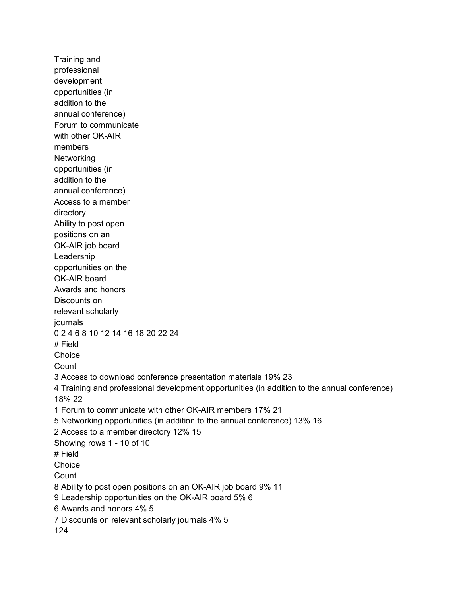Training and professional development opportunities (in addition to the annual conference) Forum to communicate with other OK-AIR members Networking opportunities (in addition to the annual conference) Access to a member directory Ability to post open positions on an OK-AIR job board Leadership opportunities on the OK-AIR board Awards and honors Discounts on relevant scholarly journals 0 2 4 6 8 10 12 14 16 18 20 22 24 # Field **Choice Count** 3 Access to download conference presentation materials 19% 23 4 Training and professional development opportunities (in addition to the annual conference) 18% 22 1 Forum to communicate with other OK-AIR members 17% 21 5 Networking opportunities (in addition to the annual conference) 13% 16 2 Access to a member directory 12% 15 Showing rows 1 - 10 of 10 # Field **Choice** Count 8 Ability to post open positions on an OK-AIR job board 9% 11 9 Leadership opportunities on the OK-AIR board 5% 6 6 Awards and honors 4% 5 7 Discounts on relevant scholarly journals 4% 5 124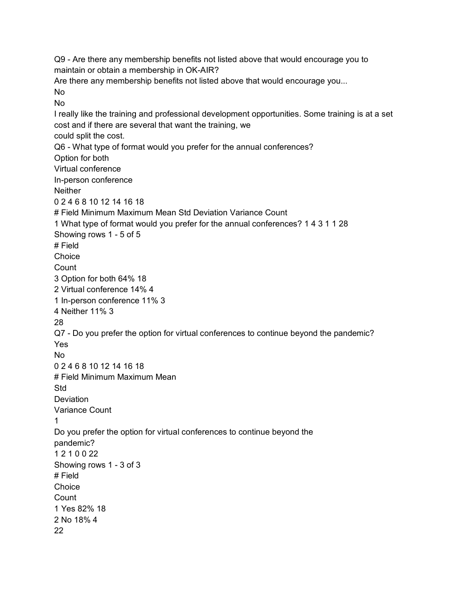Q9 - Are there any membership benefits not listed above that would encourage you to maintain or obtain a membership in OK-AIR? Are there any membership benefits not listed above that would encourage you... No No I really like the training and professional development opportunities. Some training is at a set cost and if there are several that want the training, we could split the cost. Q6 - What type of format would you prefer for the annual conferences? Option for both Virtual conference In-person conference **Neither** 0 2 4 6 8 10 12 14 16 18 # Field Minimum Maximum Mean Std Deviation Variance Count 1 What type of format would you prefer for the annual conferences? 1 4 3 1 1 28 Showing rows 1 - 5 of 5 # Field **Choice Count** 3 Option for both 64% 18 2 Virtual conference 14% 4 1 In-person conference 11% 3 4 Neither 11% 3 28 Q7 - Do you prefer the option for virtual conferences to continue beyond the pandemic? Yes No 0 2 4 6 8 10 12 14 16 18 # Field Minimum Maximum Mean Std **Deviation** Variance Count 1 Do you prefer the option for virtual conferences to continue beyond the pandemic? 1 2 1 0 0 22 Showing rows 1 - 3 of 3 # Field Choice **Count** 1 Yes 82% 18 2 No 18% 4 22